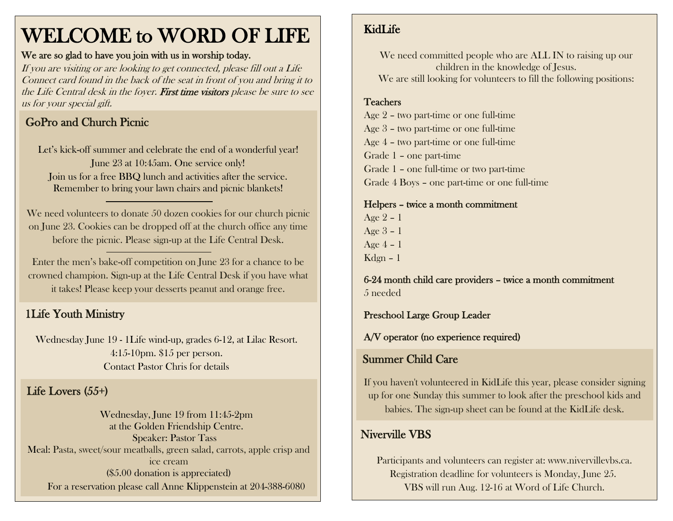# WELCOME to WORD OF LIFE

#### We are so glad to have you join with us in worship today.

If you are visiting or are looking to get connected, please fill out a Life Connect card found in the back of the seat in front of you and bring it to the Life Central desk in the foyer. First time visitors please be sure to see us for your special gift.

## GoPro and Church Picnic

Let's kick-off summer and celebrate the end of a wonderful year! June 23 at 10:45am. One service only! Join us for a free BBQ lunch and activities after the service. Remember to bring your lawn chairs and picnic blankets!

We need volunteers to donate 50 dozen cookies for our church picnic on June 23. Cookies can be dropped off at the church office any time before the picnic. Please sign-up at the Life Central Desk.

Enter the men's bake-off competition on June 23 for a chance to be crowned champion. Sign-up at the Life Central Desk if you have what it takes! Please keep your desserts peanut and orange free.

## 1Life Youth Ministry

Wednesday June 19 - 1Life wind-up, grades 6-12, at Lilac Resort. 4:15-10pm. \$15 per person. Contact Pastor Chris for details

## Life Lovers (55+)

Wednesday, June 19 from 11:45-2pm at the Golden Friendship Centre. Speaker: Pastor Tass Meal: Pasta, sweet/sour meatballs, green salad, carrots, apple crisp and ice cream (\$5.00 donation is appreciated) For a reservation please call Anne Klippenstein at 204-388-6080

## KidLife

We need committed people who are ALL IN to raising up our children in the knowledge of Jesus. We are still looking for volunteers to fill the following positions:

#### **Teachers**

Age 2 – two part-time or one full-time Age 3 – two part-time or one full-time Age 4 – two part-time or one full-time Grade 1 – one part-time Grade 1 – one full-time or two part-time Grade 4 Boys – one part-time or one full-time

Helpers – twice a month commitment Age 2 – 1 Age 3 – 1 Age 4 – 1 Kdgn – 1

6-24 month child care providers – twice a month commitment 5 needed

Preschool Large Group Leader

A/V operator (no experience required)

#### Summer Child Care

If you haven't volunteered in KidLife this year, please consider signing up for one Sunday this summer to look after the preschool kids and babies. The sign-up sheet can be found at the KidLife desk.

### Niverville VBS

Participants and volunteers can register at: www.nivervillevbs.ca. Registration deadline for volunteers is Monday, June 25. VBS will run Aug. 12-16 at Word of Life Church.